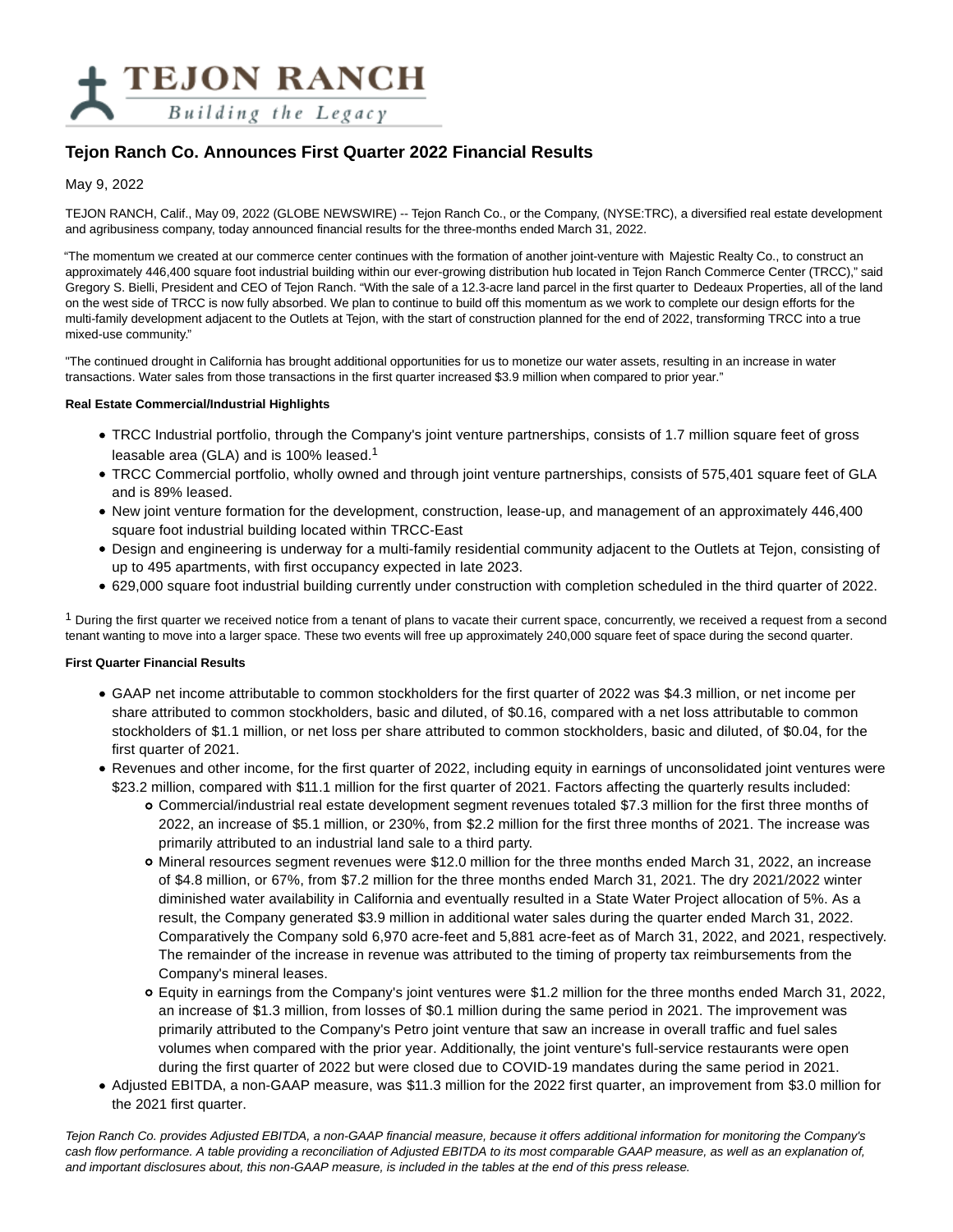

# **Tejon Ranch Co. Announces First Quarter 2022 Financial Results**

### May 9, 2022

TEJON RANCH, Calif., May 09, 2022 (GLOBE NEWSWIRE) -- Tejon Ranch Co., or the Company, (NYSE:TRC), a diversified real estate development and agribusiness company, today announced financial results for the three-months ended March 31, 2022.

"The momentum we created at our commerce center continues with the formation of another joint-venture with Majestic Realty Co., to construct an approximately 446,400 square foot industrial building within our ever-growing distribution hub located in Tejon Ranch Commerce Center (TRCC)," said Gregory S. Bielli, President and CEO of Tejon Ranch. "With the sale of a 12.3-acre land parcel in the first quarter to Dedeaux Properties, all of the land on the west side of TRCC is now fully absorbed. We plan to continue to build off this momentum as we work to complete our design efforts for the multi-family development adjacent to the Outlets at Tejon, with the start of construction planned for the end of 2022, transforming TRCC into a true mixed-use community."

"The continued drought in California has brought additional opportunities for us to monetize our water assets, resulting in an increase in water transactions. Water sales from those transactions in the first quarter increased \$3.9 million when compared to prior year."

#### **Real Estate Commercial/Industrial Highlights**

- TRCC Industrial portfolio, through the Company's joint venture partnerships, consists of 1.7 million square feet of gross leasable area (GLA) and is 100% leased.<sup>1</sup>
- TRCC Commercial portfolio, wholly owned and through joint venture partnerships, consists of 575,401 square feet of GLA and is 89% leased.
- New joint venture formation for the development, construction, lease-up, and management of an approximately 446,400 square foot industrial building located within TRCC-East
- Design and engineering is underway for a multi-family residential community adjacent to the Outlets at Tejon, consisting of up to 495 apartments, with first occupancy expected in late 2023.
- 629,000 square foot industrial building currently under construction with completion scheduled in the third quarter of 2022.

 $1$  During the first quarter we received notice from a tenant of plans to vacate their current space, concurrently, we received a request from a second tenant wanting to move into a larger space. These two events will free up approximately 240,000 square feet of space during the second quarter.

#### **First Quarter Financial Results**

- GAAP net income attributable to common stockholders for the first quarter of 2022 was \$4.3 million, or net income per share attributed to common stockholders, basic and diluted, of \$0.16, compared with a net loss attributable to common stockholders of \$1.1 million, or net loss per share attributed to common stockholders, basic and diluted, of \$0.04, for the first quarter of 2021.
- Revenues and other income, for the first quarter of 2022, including equity in earnings of unconsolidated joint ventures were \$23.2 million, compared with \$11.1 million for the first quarter of 2021. Factors affecting the quarterly results included:
	- Commercial/industrial real estate development segment revenues totaled \$7.3 million for the first three months of 2022, an increase of \$5.1 million, or 230%, from \$2.2 million for the first three months of 2021. The increase was primarily attributed to an industrial land sale to a third party.
	- Mineral resources segment revenues were \$12.0 million for the three months ended March 31, 2022, an increase of \$4.8 million, or 67%, from \$7.2 million for the three months ended March 31, 2021. The dry 2021/2022 winter diminished water availability in California and eventually resulted in a State Water Project allocation of 5%. As a result, the Company generated \$3.9 million in additional water sales during the quarter ended March 31, 2022. Comparatively the Company sold 6,970 acre-feet and 5,881 acre-feet as of March 31, 2022, and 2021, respectively. The remainder of the increase in revenue was attributed to the timing of property tax reimbursements from the Company's mineral leases.
	- Equity in earnings from the Company's joint ventures were \$1.2 million for the three months ended March 31, 2022, an increase of \$1.3 million, from losses of \$0.1 million during the same period in 2021. The improvement was primarily attributed to the Company's Petro joint venture that saw an increase in overall traffic and fuel sales volumes when compared with the prior year. Additionally, the joint venture's full-service restaurants were open during the first quarter of 2022 but were closed due to COVID-19 mandates during the same period in 2021.
- Adjusted EBITDA, a non-GAAP measure, was \$11.3 million for the 2022 first quarter, an improvement from \$3.0 million for the 2021 first quarter.

Tejon Ranch Co. provides Adjusted EBITDA, a non-GAAP financial measure, because it offers additional information for monitoring the Company's cash flow performance. A table providing a reconciliation of Adjusted EBITDA to its most comparable GAAP measure, as well as an explanation of, and important disclosures about, this non-GAAP measure, is included in the tables at the end of this press release.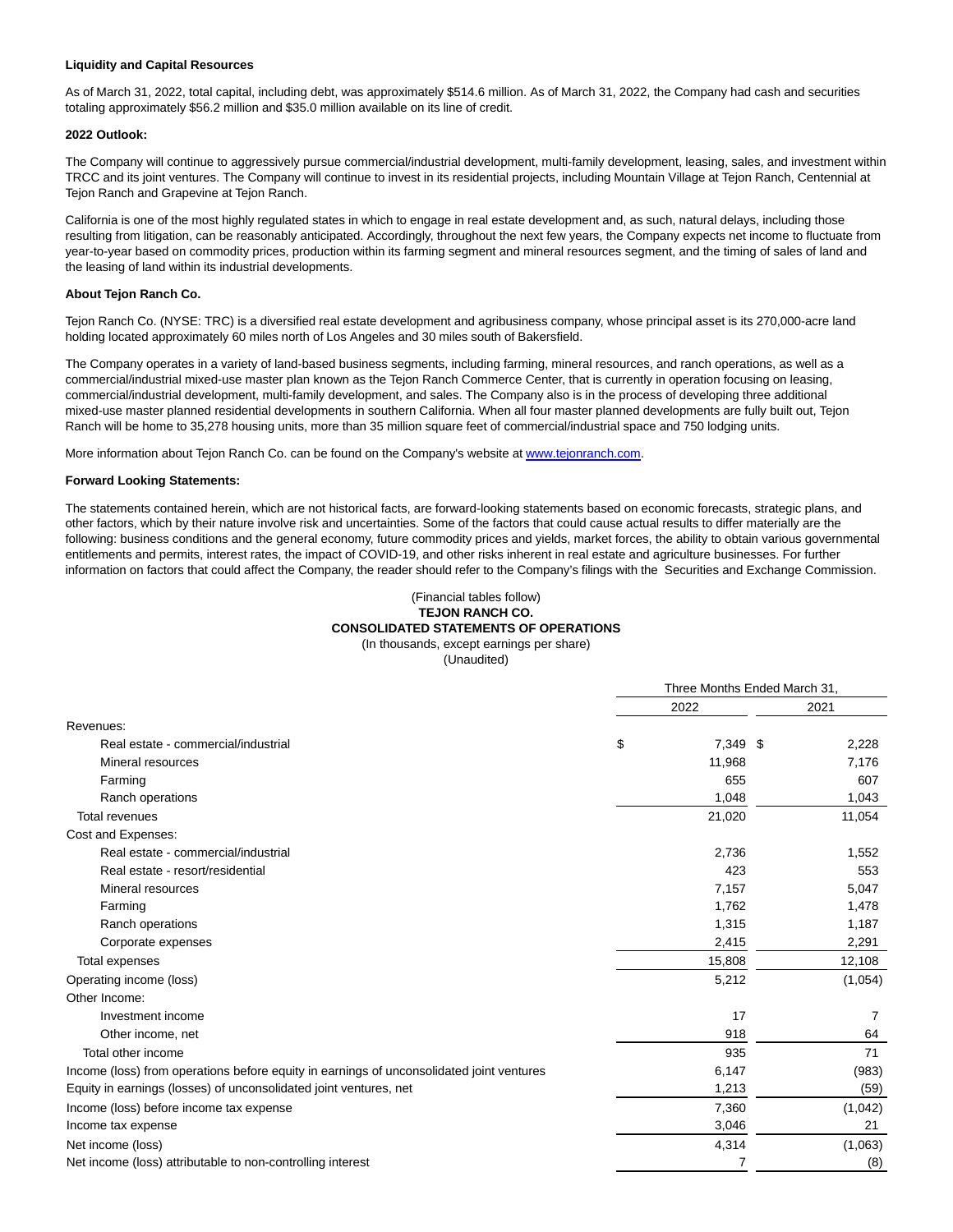#### **Liquidity and Capital Resources**

As of March 31, 2022, total capital, including debt, was approximately \$514.6 million. As of March 31, 2022, the Company had cash and securities totaling approximately \$56.2 million and \$35.0 million available on its line of credit.

#### **2022 Outlook:**

The Company will continue to aggressively pursue commercial/industrial development, multi-family development, leasing, sales, and investment within TRCC and its joint ventures. The Company will continue to invest in its residential projects, including Mountain Village at Tejon Ranch, Centennial at Tejon Ranch and Grapevine at Tejon Ranch.

California is one of the most highly regulated states in which to engage in real estate development and, as such, natural delays, including those resulting from litigation, can be reasonably anticipated. Accordingly, throughout the next few years, the Company expects net income to fluctuate from year-to-year based on commodity prices, production within its farming segment and mineral resources segment, and the timing of sales of land and the leasing of land within its industrial developments.

#### **About Tejon Ranch Co.**

Tejon Ranch Co. (NYSE: TRC) is a diversified real estate development and agribusiness company, whose principal asset is its 270,000-acre land holding located approximately 60 miles north of Los Angeles and 30 miles south of Bakersfield.

The Company operates in a variety of land-based business segments, including farming, mineral resources, and ranch operations, as well as a commercial/industrial mixed-use master plan known as the Tejon Ranch Commerce Center, that is currently in operation focusing on leasing, commercial/industrial development, multi-family development, and sales. The Company also is in the process of developing three additional mixed-use master planned residential developments in southern California. When all four master planned developments are fully built out, Tejon Ranch will be home to 35,278 housing units, more than 35 million square feet of commercial/industrial space and 750 lodging units.

More information about Tejon Ranch Co. can be found on the Company's website at www.tejonranch.com.

#### **Forward Looking Statements:**

The statements contained herein, which are not historical facts, are forward-looking statements based on economic forecasts, strategic plans, and other factors, which by their nature involve risk and uncertainties. Some of the factors that could cause actual results to differ materially are the following: business conditions and the general economy, future commodity prices and yields, market forces, the ability to obtain various governmental entitlements and permits, interest rates, the impact of COVID-19, and other risks inherent in real estate and agriculture businesses. For further information on factors that could affect the Company, the reader should refer to the Company's filings with the Securities and Exchange Commission.

#### (Financial tables follow) **TEJON RANCH CO. CONSOLIDATED STATEMENTS OF OPERATIONS** (In thousands, except earnings per share)

(Unaudited)

|                                                                                          | Three Months Ended March 31, |          |  |         |  |
|------------------------------------------------------------------------------------------|------------------------------|----------|--|---------|--|
|                                                                                          |                              | 2022     |  | 2021    |  |
| Revenues:                                                                                |                              |          |  |         |  |
| Real estate - commercial/industrial                                                      | \$                           | 7,349 \$ |  | 2,228   |  |
| Mineral resources                                                                        |                              | 11,968   |  | 7,176   |  |
| Farming                                                                                  |                              | 655      |  | 607     |  |
| Ranch operations                                                                         |                              | 1,048    |  | 1,043   |  |
| <b>Total revenues</b>                                                                    |                              | 21,020   |  | 11,054  |  |
| Cost and Expenses:                                                                       |                              |          |  |         |  |
| Real estate - commercial/industrial                                                      |                              | 2,736    |  | 1,552   |  |
| Real estate - resort/residential                                                         |                              | 423      |  | 553     |  |
| Mineral resources                                                                        |                              | 7,157    |  | 5,047   |  |
| Farming                                                                                  |                              | 1,762    |  | 1,478   |  |
| Ranch operations                                                                         |                              | 1,315    |  | 1,187   |  |
| Corporate expenses                                                                       |                              | 2,415    |  | 2,291   |  |
| Total expenses                                                                           |                              | 15,808   |  | 12,108  |  |
| Operating income (loss)                                                                  |                              | 5,212    |  | (1,054) |  |
| Other Income:                                                                            |                              |          |  |         |  |
| Investment income                                                                        |                              | 17       |  | 7       |  |
| Other income, net                                                                        |                              | 918      |  | 64      |  |
| Total other income                                                                       |                              | 935      |  | 71      |  |
| Income (loss) from operations before equity in earnings of unconsolidated joint ventures |                              | 6,147    |  | (983)   |  |
| Equity in earnings (losses) of unconsolidated joint ventures, net                        |                              | 1,213    |  | (59)    |  |
| Income (loss) before income tax expense                                                  |                              | 7,360    |  | (1,042) |  |
| Income tax expense                                                                       |                              | 3,046    |  | 21      |  |
| Net income (loss)                                                                        |                              | 4,314    |  | (1,063) |  |
| Net income (loss) attributable to non-controlling interest                               |                              | 7        |  | (8)     |  |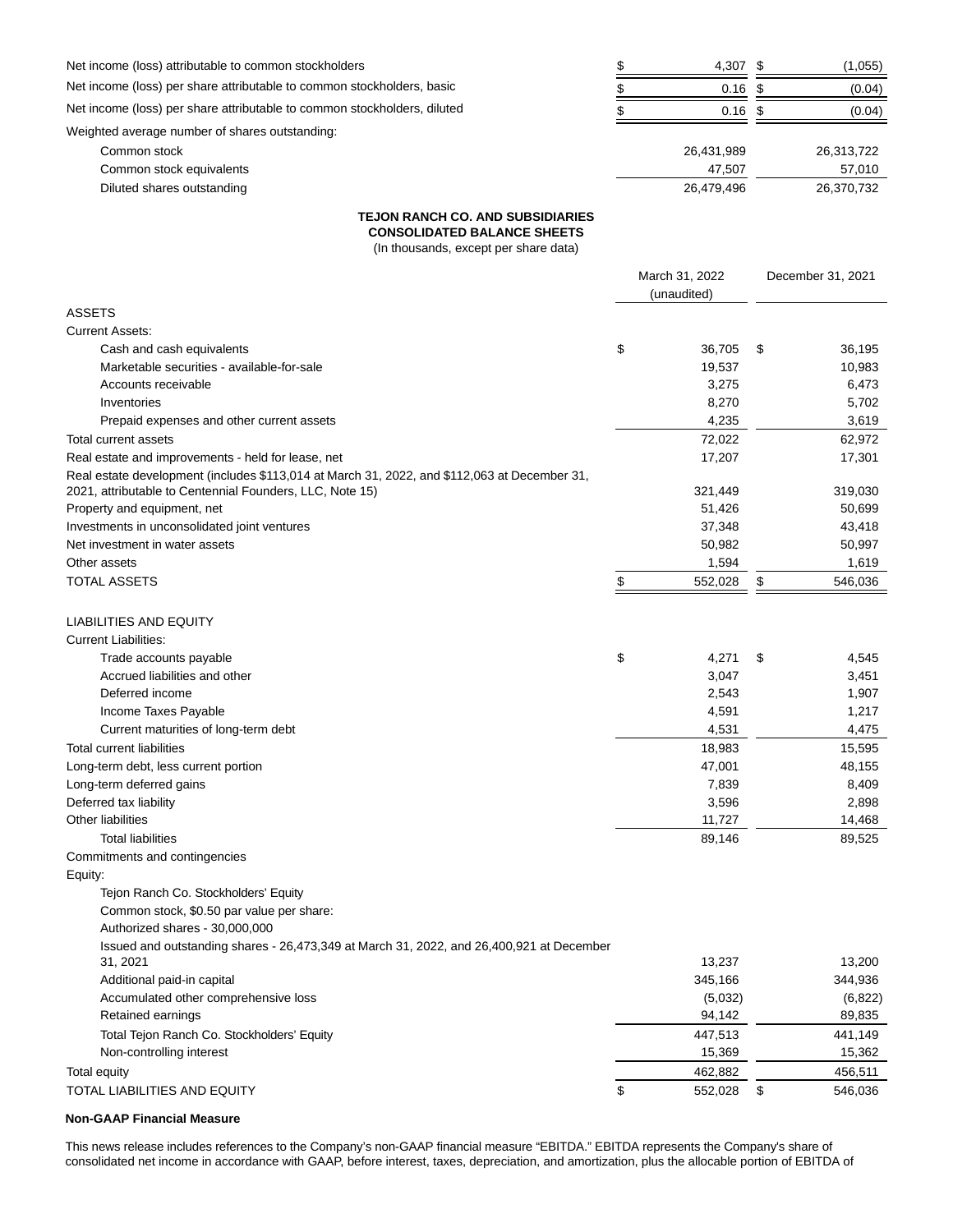| Net income (loss) attributable to common stockholders                    | 4,307      | (1,055)    |
|--------------------------------------------------------------------------|------------|------------|
| Net income (loss) per share attributable to common stockholders, basic   | 0.16       | (0.04)     |
| Net income (loss) per share attributable to common stockholders, diluted | $0.16$ \$  | (0.04)     |
| Weighted average number of shares outstanding:                           |            |            |
| Common stock                                                             | 26,431,989 | 26,313,722 |
| Common stock equivalents                                                 | 47.507     | 57,010     |
| Diluted shares outstanding                                               | 26,479,496 | 26,370,732 |

#### **TEJON RANCH CO. AND SUBSIDIARIES**

**CONSOLIDATED BALANCE SHEETS**

(In thousands, except per share data)

| <b>ASSETS</b><br><b>Current Assets:</b><br>\$<br>36,195<br>Cash and cash equivalents<br>36,705<br>\$<br>19,537<br>10,983<br>Marketable securities - available-for-sale<br>Accounts receivable<br>3,275<br>6,473<br>Inventories<br>8,270<br>5,702<br>4,235<br>3,619<br>Prepaid expenses and other current assets<br>72,022<br>62,972<br>Total current assets<br>17,207<br>17,301<br>Real estate and improvements - held for lease, net<br>Real estate development (includes \$113,014 at March 31, 2022, and \$112,063 at December 31,<br>2021, attributable to Centennial Founders, LLC, Note 15)<br>321,449<br>319,030<br>Property and equipment, net<br>51,426<br>50,699<br>37,348<br>43,418<br>Investments in unconsolidated joint ventures<br>Net investment in water assets<br>50,982<br>50,997<br>1,594<br>Other assets<br>1,619<br><b>TOTAL ASSETS</b><br>\$<br>552,028<br>\$<br>546,036<br><b>LIABILITIES AND EQUITY</b><br><b>Current Liabilities:</b><br>\$<br>4,271<br>Trade accounts payable<br>\$<br>4,545<br>Accrued liabilities and other<br>3,047<br>3,451<br>Deferred income<br>2,543<br>1,907<br>Income Taxes Payable<br>4,591<br>1,217<br>Current maturities of long-term debt<br>4,531<br>4,475<br><b>Total current liabilities</b><br>18,983<br>15,595<br>Long-term debt, less current portion<br>47,001<br>48,155<br>Long-term deferred gains<br>7,839<br>8,409<br>Deferred tax liability<br>3,596<br>2,898<br>Other liabilities<br>11,727<br>14,468<br><b>Total liabilities</b><br>89,525<br>89,146<br>Commitments and contingencies<br>Equity:<br>Tejon Ranch Co. Stockholders' Equity<br>Common stock, \$0.50 par value per share:<br>Authorized shares - 30,000,000<br>Issued and outstanding shares - 26,473,349 at March 31, 2022, and 26,400,921 at December<br>13,200<br>13,237<br>31. 2021<br>Additional paid-in capital<br>345,166<br>344,936<br>Accumulated other comprehensive loss<br>(5,032)<br>(6,822)<br>94,142<br>Retained earnings<br>89,835<br>Total Tejon Ranch Co. Stockholders' Equity<br>447,513<br>441,149<br>Non-controlling interest<br>15,369<br>15,362<br><b>Total equity</b><br>462,882<br>456,511<br>\$<br>TOTAL LIABILITIES AND EQUITY<br>546,036<br>552,028<br>\$ | March 31, 2022<br>(unaudited) |  |  | December 31, 2021 |  |
|-------------------------------------------------------------------------------------------------------------------------------------------------------------------------------------------------------------------------------------------------------------------------------------------------------------------------------------------------------------------------------------------------------------------------------------------------------------------------------------------------------------------------------------------------------------------------------------------------------------------------------------------------------------------------------------------------------------------------------------------------------------------------------------------------------------------------------------------------------------------------------------------------------------------------------------------------------------------------------------------------------------------------------------------------------------------------------------------------------------------------------------------------------------------------------------------------------------------------------------------------------------------------------------------------------------------------------------------------------------------------------------------------------------------------------------------------------------------------------------------------------------------------------------------------------------------------------------------------------------------------------------------------------------------------------------------------------------------------------------------------------------------------------------------------------------------------------------------------------------------------------------------------------------------------------------------------------------------------------------------------------------------------------------------------------------------------------------------------------------------------------------------------------------------------------------------------------------------------|-------------------------------|--|--|-------------------|--|
|                                                                                                                                                                                                                                                                                                                                                                                                                                                                                                                                                                                                                                                                                                                                                                                                                                                                                                                                                                                                                                                                                                                                                                                                                                                                                                                                                                                                                                                                                                                                                                                                                                                                                                                                                                                                                                                                                                                                                                                                                                                                                                                                                                                                                         |                               |  |  |                   |  |
|                                                                                                                                                                                                                                                                                                                                                                                                                                                                                                                                                                                                                                                                                                                                                                                                                                                                                                                                                                                                                                                                                                                                                                                                                                                                                                                                                                                                                                                                                                                                                                                                                                                                                                                                                                                                                                                                                                                                                                                                                                                                                                                                                                                                                         |                               |  |  |                   |  |
|                                                                                                                                                                                                                                                                                                                                                                                                                                                                                                                                                                                                                                                                                                                                                                                                                                                                                                                                                                                                                                                                                                                                                                                                                                                                                                                                                                                                                                                                                                                                                                                                                                                                                                                                                                                                                                                                                                                                                                                                                                                                                                                                                                                                                         |                               |  |  |                   |  |
|                                                                                                                                                                                                                                                                                                                                                                                                                                                                                                                                                                                                                                                                                                                                                                                                                                                                                                                                                                                                                                                                                                                                                                                                                                                                                                                                                                                                                                                                                                                                                                                                                                                                                                                                                                                                                                                                                                                                                                                                                                                                                                                                                                                                                         |                               |  |  |                   |  |
|                                                                                                                                                                                                                                                                                                                                                                                                                                                                                                                                                                                                                                                                                                                                                                                                                                                                                                                                                                                                                                                                                                                                                                                                                                                                                                                                                                                                                                                                                                                                                                                                                                                                                                                                                                                                                                                                                                                                                                                                                                                                                                                                                                                                                         |                               |  |  |                   |  |
|                                                                                                                                                                                                                                                                                                                                                                                                                                                                                                                                                                                                                                                                                                                                                                                                                                                                                                                                                                                                                                                                                                                                                                                                                                                                                                                                                                                                                                                                                                                                                                                                                                                                                                                                                                                                                                                                                                                                                                                                                                                                                                                                                                                                                         |                               |  |  |                   |  |
|                                                                                                                                                                                                                                                                                                                                                                                                                                                                                                                                                                                                                                                                                                                                                                                                                                                                                                                                                                                                                                                                                                                                                                                                                                                                                                                                                                                                                                                                                                                                                                                                                                                                                                                                                                                                                                                                                                                                                                                                                                                                                                                                                                                                                         |                               |  |  |                   |  |
|                                                                                                                                                                                                                                                                                                                                                                                                                                                                                                                                                                                                                                                                                                                                                                                                                                                                                                                                                                                                                                                                                                                                                                                                                                                                                                                                                                                                                                                                                                                                                                                                                                                                                                                                                                                                                                                                                                                                                                                                                                                                                                                                                                                                                         |                               |  |  |                   |  |
|                                                                                                                                                                                                                                                                                                                                                                                                                                                                                                                                                                                                                                                                                                                                                                                                                                                                                                                                                                                                                                                                                                                                                                                                                                                                                                                                                                                                                                                                                                                                                                                                                                                                                                                                                                                                                                                                                                                                                                                                                                                                                                                                                                                                                         |                               |  |  |                   |  |
|                                                                                                                                                                                                                                                                                                                                                                                                                                                                                                                                                                                                                                                                                                                                                                                                                                                                                                                                                                                                                                                                                                                                                                                                                                                                                                                                                                                                                                                                                                                                                                                                                                                                                                                                                                                                                                                                                                                                                                                                                                                                                                                                                                                                                         |                               |  |  |                   |  |
|                                                                                                                                                                                                                                                                                                                                                                                                                                                                                                                                                                                                                                                                                                                                                                                                                                                                                                                                                                                                                                                                                                                                                                                                                                                                                                                                                                                                                                                                                                                                                                                                                                                                                                                                                                                                                                                                                                                                                                                                                                                                                                                                                                                                                         |                               |  |  |                   |  |
|                                                                                                                                                                                                                                                                                                                                                                                                                                                                                                                                                                                                                                                                                                                                                                                                                                                                                                                                                                                                                                                                                                                                                                                                                                                                                                                                                                                                                                                                                                                                                                                                                                                                                                                                                                                                                                                                                                                                                                                                                                                                                                                                                                                                                         |                               |  |  |                   |  |
|                                                                                                                                                                                                                                                                                                                                                                                                                                                                                                                                                                                                                                                                                                                                                                                                                                                                                                                                                                                                                                                                                                                                                                                                                                                                                                                                                                                                                                                                                                                                                                                                                                                                                                                                                                                                                                                                                                                                                                                                                                                                                                                                                                                                                         |                               |  |  |                   |  |
|                                                                                                                                                                                                                                                                                                                                                                                                                                                                                                                                                                                                                                                                                                                                                                                                                                                                                                                                                                                                                                                                                                                                                                                                                                                                                                                                                                                                                                                                                                                                                                                                                                                                                                                                                                                                                                                                                                                                                                                                                                                                                                                                                                                                                         |                               |  |  |                   |  |
|                                                                                                                                                                                                                                                                                                                                                                                                                                                                                                                                                                                                                                                                                                                                                                                                                                                                                                                                                                                                                                                                                                                                                                                                                                                                                                                                                                                                                                                                                                                                                                                                                                                                                                                                                                                                                                                                                                                                                                                                                                                                                                                                                                                                                         |                               |  |  |                   |  |
|                                                                                                                                                                                                                                                                                                                                                                                                                                                                                                                                                                                                                                                                                                                                                                                                                                                                                                                                                                                                                                                                                                                                                                                                                                                                                                                                                                                                                                                                                                                                                                                                                                                                                                                                                                                                                                                                                                                                                                                                                                                                                                                                                                                                                         |                               |  |  |                   |  |
|                                                                                                                                                                                                                                                                                                                                                                                                                                                                                                                                                                                                                                                                                                                                                                                                                                                                                                                                                                                                                                                                                                                                                                                                                                                                                                                                                                                                                                                                                                                                                                                                                                                                                                                                                                                                                                                                                                                                                                                                                                                                                                                                                                                                                         |                               |  |  |                   |  |
|                                                                                                                                                                                                                                                                                                                                                                                                                                                                                                                                                                                                                                                                                                                                                                                                                                                                                                                                                                                                                                                                                                                                                                                                                                                                                                                                                                                                                                                                                                                                                                                                                                                                                                                                                                                                                                                                                                                                                                                                                                                                                                                                                                                                                         |                               |  |  |                   |  |
|                                                                                                                                                                                                                                                                                                                                                                                                                                                                                                                                                                                                                                                                                                                                                                                                                                                                                                                                                                                                                                                                                                                                                                                                                                                                                                                                                                                                                                                                                                                                                                                                                                                                                                                                                                                                                                                                                                                                                                                                                                                                                                                                                                                                                         |                               |  |  |                   |  |
|                                                                                                                                                                                                                                                                                                                                                                                                                                                                                                                                                                                                                                                                                                                                                                                                                                                                                                                                                                                                                                                                                                                                                                                                                                                                                                                                                                                                                                                                                                                                                                                                                                                                                                                                                                                                                                                                                                                                                                                                                                                                                                                                                                                                                         |                               |  |  |                   |  |
|                                                                                                                                                                                                                                                                                                                                                                                                                                                                                                                                                                                                                                                                                                                                                                                                                                                                                                                                                                                                                                                                                                                                                                                                                                                                                                                                                                                                                                                                                                                                                                                                                                                                                                                                                                                                                                                                                                                                                                                                                                                                                                                                                                                                                         |                               |  |  |                   |  |
|                                                                                                                                                                                                                                                                                                                                                                                                                                                                                                                                                                                                                                                                                                                                                                                                                                                                                                                                                                                                                                                                                                                                                                                                                                                                                                                                                                                                                                                                                                                                                                                                                                                                                                                                                                                                                                                                                                                                                                                                                                                                                                                                                                                                                         |                               |  |  |                   |  |
|                                                                                                                                                                                                                                                                                                                                                                                                                                                                                                                                                                                                                                                                                                                                                                                                                                                                                                                                                                                                                                                                                                                                                                                                                                                                                                                                                                                                                                                                                                                                                                                                                                                                                                                                                                                                                                                                                                                                                                                                                                                                                                                                                                                                                         |                               |  |  |                   |  |
|                                                                                                                                                                                                                                                                                                                                                                                                                                                                                                                                                                                                                                                                                                                                                                                                                                                                                                                                                                                                                                                                                                                                                                                                                                                                                                                                                                                                                                                                                                                                                                                                                                                                                                                                                                                                                                                                                                                                                                                                                                                                                                                                                                                                                         |                               |  |  |                   |  |
|                                                                                                                                                                                                                                                                                                                                                                                                                                                                                                                                                                                                                                                                                                                                                                                                                                                                                                                                                                                                                                                                                                                                                                                                                                                                                                                                                                                                                                                                                                                                                                                                                                                                                                                                                                                                                                                                                                                                                                                                                                                                                                                                                                                                                         |                               |  |  |                   |  |
|                                                                                                                                                                                                                                                                                                                                                                                                                                                                                                                                                                                                                                                                                                                                                                                                                                                                                                                                                                                                                                                                                                                                                                                                                                                                                                                                                                                                                                                                                                                                                                                                                                                                                                                                                                                                                                                                                                                                                                                                                                                                                                                                                                                                                         |                               |  |  |                   |  |
|                                                                                                                                                                                                                                                                                                                                                                                                                                                                                                                                                                                                                                                                                                                                                                                                                                                                                                                                                                                                                                                                                                                                                                                                                                                                                                                                                                                                                                                                                                                                                                                                                                                                                                                                                                                                                                                                                                                                                                                                                                                                                                                                                                                                                         |                               |  |  |                   |  |
|                                                                                                                                                                                                                                                                                                                                                                                                                                                                                                                                                                                                                                                                                                                                                                                                                                                                                                                                                                                                                                                                                                                                                                                                                                                                                                                                                                                                                                                                                                                                                                                                                                                                                                                                                                                                                                                                                                                                                                                                                                                                                                                                                                                                                         |                               |  |  |                   |  |
|                                                                                                                                                                                                                                                                                                                                                                                                                                                                                                                                                                                                                                                                                                                                                                                                                                                                                                                                                                                                                                                                                                                                                                                                                                                                                                                                                                                                                                                                                                                                                                                                                                                                                                                                                                                                                                                                                                                                                                                                                                                                                                                                                                                                                         |                               |  |  |                   |  |
|                                                                                                                                                                                                                                                                                                                                                                                                                                                                                                                                                                                                                                                                                                                                                                                                                                                                                                                                                                                                                                                                                                                                                                                                                                                                                                                                                                                                                                                                                                                                                                                                                                                                                                                                                                                                                                                                                                                                                                                                                                                                                                                                                                                                                         |                               |  |  |                   |  |
|                                                                                                                                                                                                                                                                                                                                                                                                                                                                                                                                                                                                                                                                                                                                                                                                                                                                                                                                                                                                                                                                                                                                                                                                                                                                                                                                                                                                                                                                                                                                                                                                                                                                                                                                                                                                                                                                                                                                                                                                                                                                                                                                                                                                                         |                               |  |  |                   |  |
|                                                                                                                                                                                                                                                                                                                                                                                                                                                                                                                                                                                                                                                                                                                                                                                                                                                                                                                                                                                                                                                                                                                                                                                                                                                                                                                                                                                                                                                                                                                                                                                                                                                                                                                                                                                                                                                                                                                                                                                                                                                                                                                                                                                                                         |                               |  |  |                   |  |
|                                                                                                                                                                                                                                                                                                                                                                                                                                                                                                                                                                                                                                                                                                                                                                                                                                                                                                                                                                                                                                                                                                                                                                                                                                                                                                                                                                                                                                                                                                                                                                                                                                                                                                                                                                                                                                                                                                                                                                                                                                                                                                                                                                                                                         |                               |  |  |                   |  |
|                                                                                                                                                                                                                                                                                                                                                                                                                                                                                                                                                                                                                                                                                                                                                                                                                                                                                                                                                                                                                                                                                                                                                                                                                                                                                                                                                                                                                                                                                                                                                                                                                                                                                                                                                                                                                                                                                                                                                                                                                                                                                                                                                                                                                         |                               |  |  |                   |  |
|                                                                                                                                                                                                                                                                                                                                                                                                                                                                                                                                                                                                                                                                                                                                                                                                                                                                                                                                                                                                                                                                                                                                                                                                                                                                                                                                                                                                                                                                                                                                                                                                                                                                                                                                                                                                                                                                                                                                                                                                                                                                                                                                                                                                                         |                               |  |  |                   |  |
|                                                                                                                                                                                                                                                                                                                                                                                                                                                                                                                                                                                                                                                                                                                                                                                                                                                                                                                                                                                                                                                                                                                                                                                                                                                                                                                                                                                                                                                                                                                                                                                                                                                                                                                                                                                                                                                                                                                                                                                                                                                                                                                                                                                                                         |                               |  |  |                   |  |
|                                                                                                                                                                                                                                                                                                                                                                                                                                                                                                                                                                                                                                                                                                                                                                                                                                                                                                                                                                                                                                                                                                                                                                                                                                                                                                                                                                                                                                                                                                                                                                                                                                                                                                                                                                                                                                                                                                                                                                                                                                                                                                                                                                                                                         |                               |  |  |                   |  |
|                                                                                                                                                                                                                                                                                                                                                                                                                                                                                                                                                                                                                                                                                                                                                                                                                                                                                                                                                                                                                                                                                                                                                                                                                                                                                                                                                                                                                                                                                                                                                                                                                                                                                                                                                                                                                                                                                                                                                                                                                                                                                                                                                                                                                         |                               |  |  |                   |  |
|                                                                                                                                                                                                                                                                                                                                                                                                                                                                                                                                                                                                                                                                                                                                                                                                                                                                                                                                                                                                                                                                                                                                                                                                                                                                                                                                                                                                                                                                                                                                                                                                                                                                                                                                                                                                                                                                                                                                                                                                                                                                                                                                                                                                                         |                               |  |  |                   |  |
|                                                                                                                                                                                                                                                                                                                                                                                                                                                                                                                                                                                                                                                                                                                                                                                                                                                                                                                                                                                                                                                                                                                                                                                                                                                                                                                                                                                                                                                                                                                                                                                                                                                                                                                                                                                                                                                                                                                                                                                                                                                                                                                                                                                                                         |                               |  |  |                   |  |
|                                                                                                                                                                                                                                                                                                                                                                                                                                                                                                                                                                                                                                                                                                                                                                                                                                                                                                                                                                                                                                                                                                                                                                                                                                                                                                                                                                                                                                                                                                                                                                                                                                                                                                                                                                                                                                                                                                                                                                                                                                                                                                                                                                                                                         |                               |  |  |                   |  |

## **Non-GAAP Financial Measure**

This news release includes references to the Company's non-GAAP financial measure "EBITDA." EBITDA represents the Company's share of consolidated net income in accordance with GAAP, before interest, taxes, depreciation, and amortization, plus the allocable portion of EBITDA of